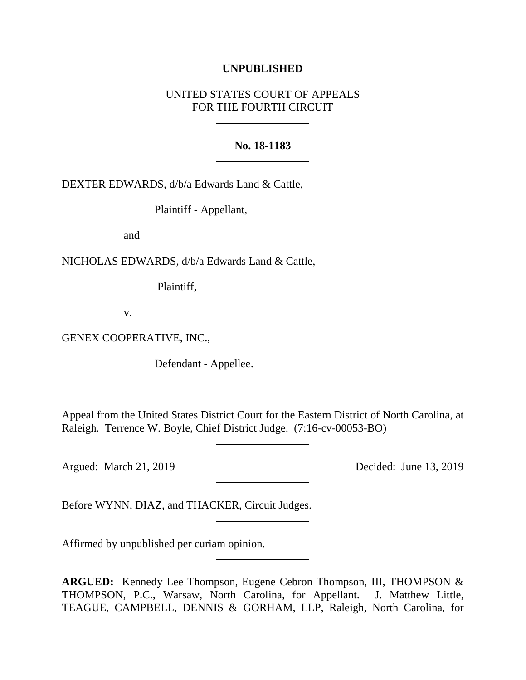## **UNPUBLISHED**

## UNITED STATES COURT OF APPEALS FOR THE FOURTH CIRCUIT

## **No. 18-1183**

DEXTER EDWARDS, d/b/a Edwards Land & Cattle,

Plaintiff - Appellant,

and

NICHOLAS EDWARDS, d/b/a Edwards Land & Cattle,

Plaintiff,

v.

GENEX COOPERATIVE, INC.,

Defendant - Appellee.

Appeal from the United States District Court for the Eastern District of North Carolina, at Raleigh. Terrence W. Boyle, Chief District Judge. (7:16-cv-00053-BO)

Argued: March 21, 2019 Decided: June 13, 2019

Before WYNN, DIAZ, and THACKER, Circuit Judges.

Affirmed by unpublished per curiam opinion.

**ARGUED:** Kennedy Lee Thompson, Eugene Cebron Thompson, III, THOMPSON & THOMPSON, P.C., Warsaw, North Carolina, for Appellant. J. Matthew Little, TEAGUE, CAMPBELL, DENNIS & GORHAM, LLP, Raleigh, North Carolina, for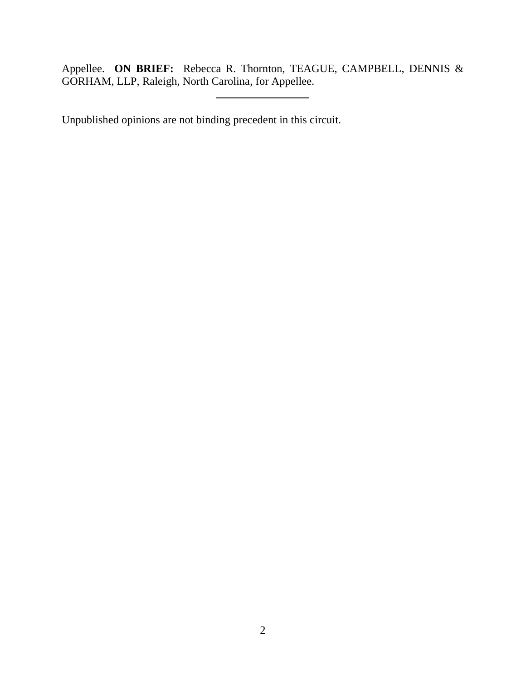Appellee. **ON BRIEF:** Rebecca R. Thornton, TEAGUE, CAMPBELL, DENNIS & GORHAM, LLP, Raleigh, North Carolina, for Appellee.

Unpublished opinions are not binding precedent in this circuit.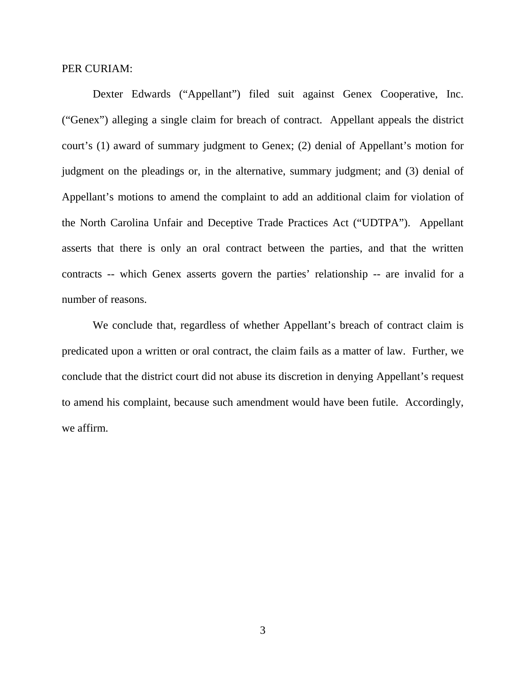#### PER CURIAM:

Dexter Edwards ("Appellant") filed suit against Genex Cooperative, Inc. ("Genex") alleging a single claim for breach of contract. Appellant appeals the district court's (1) award of summary judgment to Genex; (2) denial of Appellant's motion for judgment on the pleadings or, in the alternative, summary judgment; and (3) denial of Appellant's motions to amend the complaint to add an additional claim for violation of the North Carolina Unfair and Deceptive Trade Practices Act ("UDTPA"). Appellant asserts that there is only an oral contract between the parties, and that the written contracts -- which Genex asserts govern the parties' relationship -- are invalid for a number of reasons.

We conclude that, regardless of whether Appellant's breach of contract claim is predicated upon a written or oral contract, the claim fails as a matter of law. Further, we conclude that the district court did not abuse its discretion in denying Appellant's request to amend his complaint, because such amendment would have been futile. Accordingly, we affirm.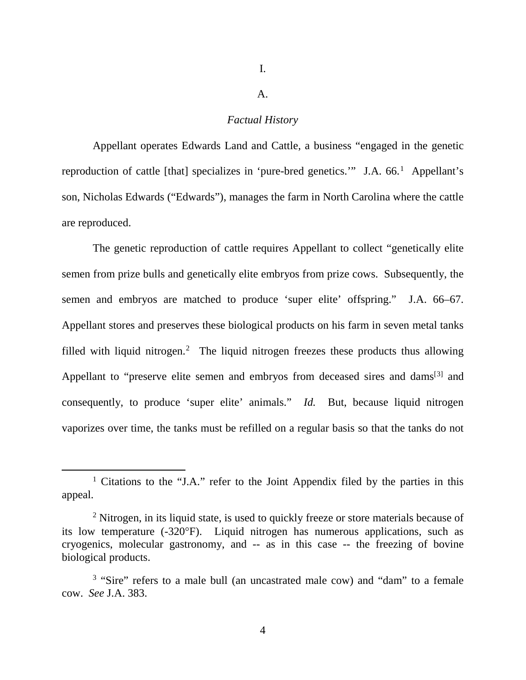I.

#### A.

## *Factual History*

Appellant operates Edwards Land and Cattle, a business "engaged in the genetic reproduction of cattle [that] specializes in 'pure-bred genetics." J.A. 66.<sup>[1](#page-3-0)</sup> Appellant's son, Nicholas Edwards ("Edwards"), manages the farm in North Carolina where the cattle are reproduced.

The genetic reproduction of cattle requires Appellant to collect "genetically elite semen from prize bulls and genetically elite embryos from prize cows. Subsequently, the semen and embryos are matched to produce 'super elite' offspring." J.A. 66–67. Appellant stores and preserves these biological products on his farm in seven metal tanks filled with liquid nitrogen.<sup>[2](#page-3-1)</sup> The liquid nitrogen freezes these products thus allowing Appellant to "preserve elite semen and embryos from deceased sires and dams<sup>[[3\]](#page-3-2)</sup> and consequently, to produce 'super elite' animals." *Id.* But, because liquid nitrogen vaporizes over time, the tanks must be refilled on a regular basis so that the tanks do not

<span id="page-3-0"></span> <sup>1</sup> Citations to the "J.A." refer to the Joint Appendix filed by the parties in this appeal.

<span id="page-3-1"></span><sup>&</sup>lt;sup>2</sup> Nitrogen, in its liquid state, is used to quickly freeze or store materials because of its low temperature (-320°F). Liquid nitrogen has numerous applications, such as cryogenics, molecular gastronomy, and -- as in this case -- the freezing of bovine biological products.

<span id="page-3-2"></span><sup>&</sup>lt;sup>3</sup> "Sire" refers to a male bull (an uncastrated male cow) and "dam" to a female cow. *See* J.A. 383.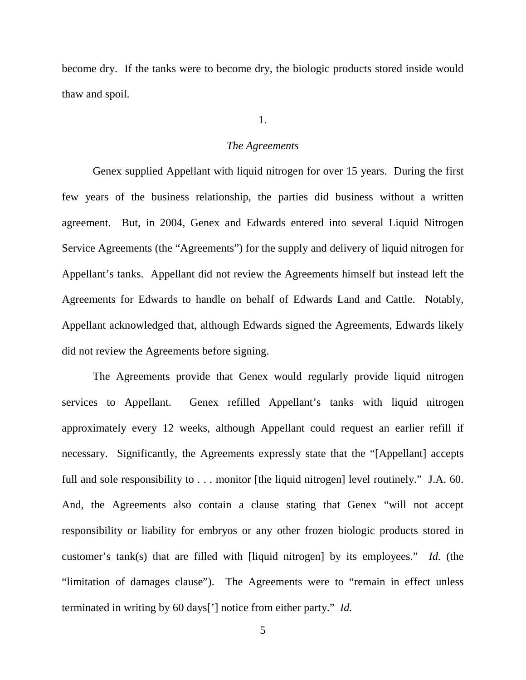become dry. If the tanks were to become dry, the biologic products stored inside would thaw and spoil.

#### 1.

#### *The Agreements*

Genex supplied Appellant with liquid nitrogen for over 15 years. During the first few years of the business relationship, the parties did business without a written agreement. But, in 2004, Genex and Edwards entered into several Liquid Nitrogen Service Agreements (the "Agreements") for the supply and delivery of liquid nitrogen for Appellant's tanks. Appellant did not review the Agreements himself but instead left the Agreements for Edwards to handle on behalf of Edwards Land and Cattle. Notably, Appellant acknowledged that, although Edwards signed the Agreements, Edwards likely did not review the Agreements before signing.

The Agreements provide that Genex would regularly provide liquid nitrogen services to Appellant. Genex refilled Appellant's tanks with liquid nitrogen approximately every 12 weeks, although Appellant could request an earlier refill if necessary. Significantly, the Agreements expressly state that the "[Appellant] accepts full and sole responsibility to . . . monitor [the liquid nitrogen] level routinely." J.A. 60. And, the Agreements also contain a clause stating that Genex "will not accept responsibility or liability for embryos or any other frozen biologic products stored in customer's tank(s) that are filled with [liquid nitrogen] by its employees." *Id.* (the "limitation of damages clause"). The Agreements were to "remain in effect unless terminated in writing by 60 days['] notice from either party." *Id.*

5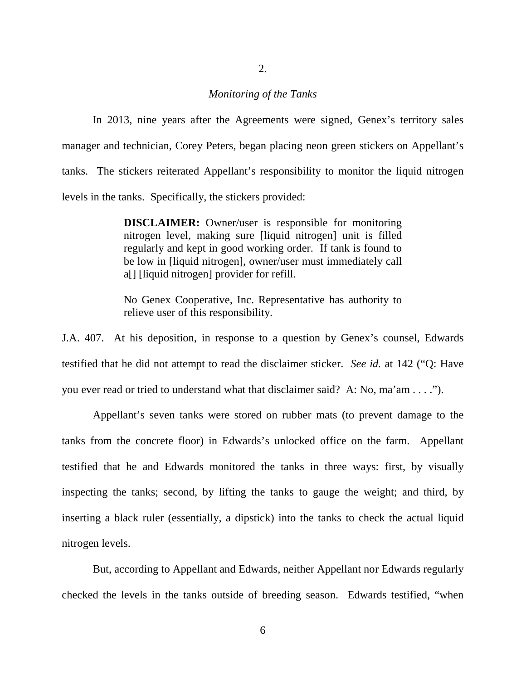## *Monitoring of the Tanks*

In 2013, nine years after the Agreements were signed, Genex's territory sales manager and technician, Corey Peters, began placing neon green stickers on Appellant's tanks. The stickers reiterated Appellant's responsibility to monitor the liquid nitrogen levels in the tanks. Specifically, the stickers provided:

> **DISCLAIMER:** Owner/user is responsible for monitoring nitrogen level, making sure [liquid nitrogen] unit is filled regularly and kept in good working order. If tank is found to be low in [liquid nitrogen], owner/user must immediately call a[] [liquid nitrogen] provider for refill.

> No Genex Cooperative, Inc. Representative has authority to relieve user of this responsibility.

J.A. 407. At his deposition, in response to a question by Genex's counsel, Edwards testified that he did not attempt to read the disclaimer sticker. *See id.* at 142 ("Q: Have you ever read or tried to understand what that disclaimer said? A: No, ma'am . . . .").

Appellant's seven tanks were stored on rubber mats (to prevent damage to the tanks from the concrete floor) in Edwards's unlocked office on the farm. Appellant testified that he and Edwards monitored the tanks in three ways: first, by visually inspecting the tanks; second, by lifting the tanks to gauge the weight; and third, by inserting a black ruler (essentially, a dipstick) into the tanks to check the actual liquid nitrogen levels.

But, according to Appellant and Edwards, neither Appellant nor Edwards regularly checked the levels in the tanks outside of breeding season. Edwards testified, "when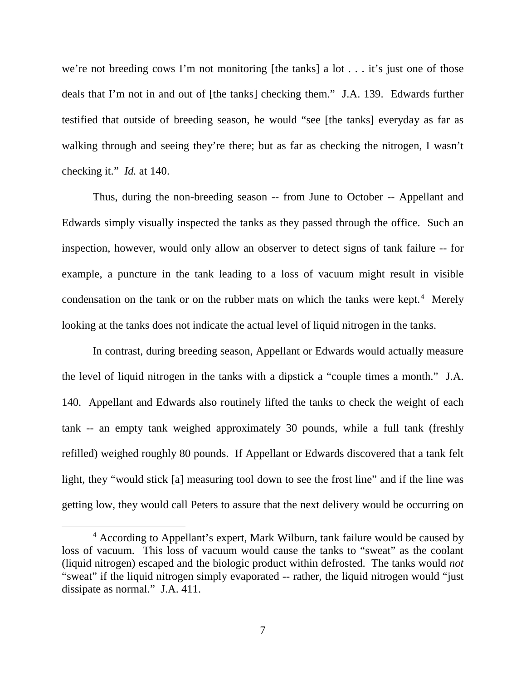we're not breeding cows I'm not monitoring [the tanks] a lot . . . it's just one of those deals that I'm not in and out of [the tanks] checking them." J.A. 139. Edwards further testified that outside of breeding season, he would "see [the tanks] everyday as far as walking through and seeing they're there; but as far as checking the nitrogen, I wasn't checking it." *Id.* at 140.

Thus, during the non-breeding season -- from June to October -- Appellant and Edwards simply visually inspected the tanks as they passed through the office. Such an inspection, however, would only allow an observer to detect signs of tank failure -- for example, a puncture in the tank leading to a loss of vacuum might result in visible condensation on the tank or on the rubber mats on which the tanks were kept.<sup>[4](#page-6-0)</sup> Merely looking at the tanks does not indicate the actual level of liquid nitrogen in the tanks.

In contrast, during breeding season, Appellant or Edwards would actually measure the level of liquid nitrogen in the tanks with a dipstick a "couple times a month." J.A. 140. Appellant and Edwards also routinely lifted the tanks to check the weight of each tank -- an empty tank weighed approximately 30 pounds, while a full tank (freshly refilled) weighed roughly 80 pounds. If Appellant or Edwards discovered that a tank felt light, they "would stick [a] measuring tool down to see the frost line" and if the line was getting low, they would call Peters to assure that the next delivery would be occurring on

<span id="page-6-0"></span><sup>&</sup>lt;sup>4</sup> According to Appellant's expert, Mark Wilburn, tank failure would be caused by loss of vacuum. This loss of vacuum would cause the tanks to "sweat" as the coolant (liquid nitrogen) escaped and the biologic product within defrosted. The tanks would *not* "sweat" if the liquid nitrogen simply evaporated -- rather, the liquid nitrogen would "just dissipate as normal." J.A. 411.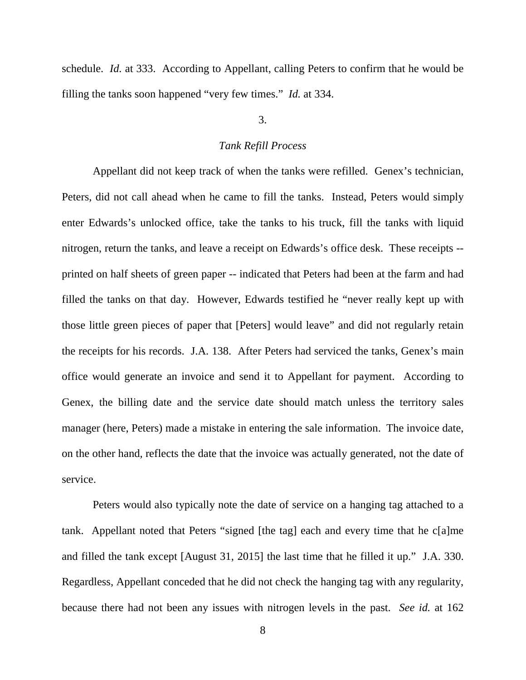schedule. *Id.* at 333. According to Appellant, calling Peters to confirm that he would be filling the tanks soon happened "very few times." *Id.* at 334.

## 3.

### *Tank Refill Process*

Appellant did not keep track of when the tanks were refilled. Genex's technician, Peters, did not call ahead when he came to fill the tanks. Instead, Peters would simply enter Edwards's unlocked office, take the tanks to his truck, fill the tanks with liquid nitrogen, return the tanks, and leave a receipt on Edwards's office desk. These receipts - printed on half sheets of green paper -- indicated that Peters had been at the farm and had filled the tanks on that day. However, Edwards testified he "never really kept up with those little green pieces of paper that [Peters] would leave" and did not regularly retain the receipts for his records. J.A. 138. After Peters had serviced the tanks, Genex's main office would generate an invoice and send it to Appellant for payment. According to Genex, the billing date and the service date should match unless the territory sales manager (here, Peters) made a mistake in entering the sale information. The invoice date, on the other hand, reflects the date that the invoice was actually generated, not the date of service.

Peters would also typically note the date of service on a hanging tag attached to a tank. Appellant noted that Peters "signed [the tag] each and every time that he c[a]me and filled the tank except [August 31, 2015] the last time that he filled it up." J.A. 330. Regardless, Appellant conceded that he did not check the hanging tag with any regularity, because there had not been any issues with nitrogen levels in the past. *See id.* at 162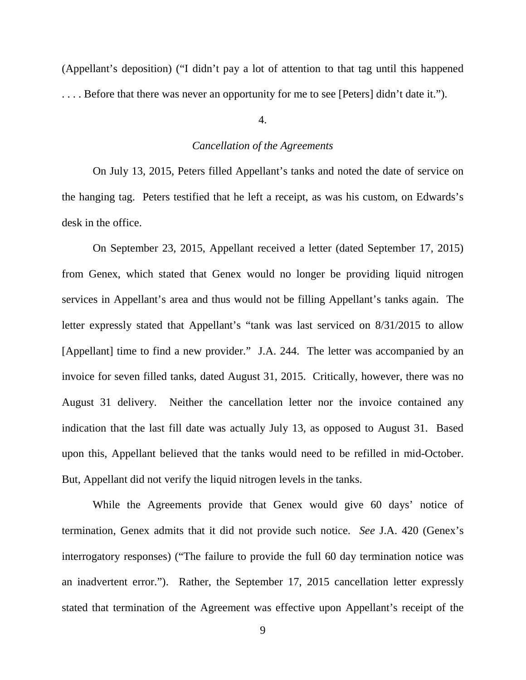(Appellant's deposition) ("I didn't pay a lot of attention to that tag until this happened . . . . Before that there was never an opportunity for me to see [Peters] didn't date it.").

4.

#### *Cancellation of the Agreements*

On July 13, 2015, Peters filled Appellant's tanks and noted the date of service on the hanging tag. Peters testified that he left a receipt, as was his custom, on Edwards's desk in the office.

On September 23, 2015, Appellant received a letter (dated September 17, 2015) from Genex, which stated that Genex would no longer be providing liquid nitrogen services in Appellant's area and thus would not be filling Appellant's tanks again. The letter expressly stated that Appellant's "tank was last serviced on 8/31/2015 to allow [Appellant] time to find a new provider." J.A. 244. The letter was accompanied by an invoice for seven filled tanks, dated August 31, 2015. Critically, however, there was no August 31 delivery. Neither the cancellation letter nor the invoice contained any indication that the last fill date was actually July 13, as opposed to August 31. Based upon this, Appellant believed that the tanks would need to be refilled in mid-October. But, Appellant did not verify the liquid nitrogen levels in the tanks.

While the Agreements provide that Genex would give 60 days' notice of termination, Genex admits that it did not provide such notice. *See* J.A. 420 (Genex's interrogatory responses) ("The failure to provide the full 60 day termination notice was an inadvertent error."). Rather, the September 17, 2015 cancellation letter expressly stated that termination of the Agreement was effective upon Appellant's receipt of the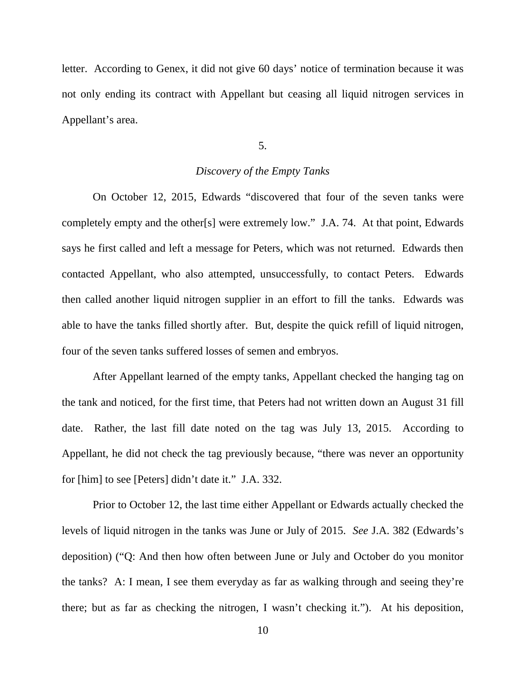letter. According to Genex, it did not give 60 days' notice of termination because it was not only ending its contract with Appellant but ceasing all liquid nitrogen services in Appellant's area.

5.

## *Discovery of the Empty Tanks*

On October 12, 2015, Edwards "discovered that four of the seven tanks were completely empty and the other[s] were extremely low." J.A. 74. At that point, Edwards says he first called and left a message for Peters, which was not returned. Edwards then contacted Appellant, who also attempted, unsuccessfully, to contact Peters. Edwards then called another liquid nitrogen supplier in an effort to fill the tanks. Edwards was able to have the tanks filled shortly after. But, despite the quick refill of liquid nitrogen, four of the seven tanks suffered losses of semen and embryos.

After Appellant learned of the empty tanks, Appellant checked the hanging tag on the tank and noticed, for the first time, that Peters had not written down an August 31 fill date. Rather, the last fill date noted on the tag was July 13, 2015. According to Appellant, he did not check the tag previously because, "there was never an opportunity for [him] to see [Peters] didn't date it." J.A. 332.

Prior to October 12, the last time either Appellant or Edwards actually checked the levels of liquid nitrogen in the tanks was June or July of 2015. *See* J.A. 382 (Edwards's deposition) ("Q: And then how often between June or July and October do you monitor the tanks? A: I mean, I see them everyday as far as walking through and seeing they're there; but as far as checking the nitrogen, I wasn't checking it."). At his deposition,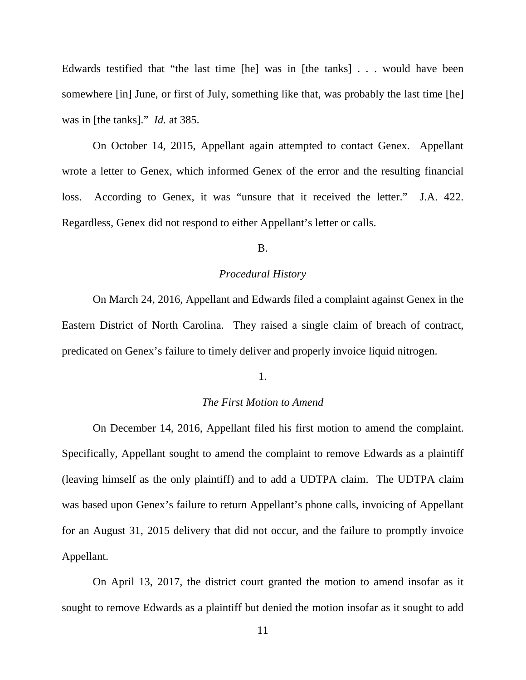Edwards testified that "the last time [he] was in [the tanks] . . . would have been somewhere [in] June, or first of July, something like that, was probably the last time [he] was in [the tanks]." *Id.* at 385.

On October 14, 2015, Appellant again attempted to contact Genex. Appellant wrote a letter to Genex, which informed Genex of the error and the resulting financial loss. According to Genex, it was "unsure that it received the letter." J.A. 422. Regardless, Genex did not respond to either Appellant's letter or calls.

B.

### *Procedural History*

On March 24, 2016, Appellant and Edwards filed a complaint against Genex in the Eastern District of North Carolina. They raised a single claim of breach of contract, predicated on Genex's failure to timely deliver and properly invoice liquid nitrogen.

## 1.

## *The First Motion to Amend*

On December 14, 2016, Appellant filed his first motion to amend the complaint. Specifically, Appellant sought to amend the complaint to remove Edwards as a plaintiff (leaving himself as the only plaintiff) and to add a UDTPA claim. The UDTPA claim was based upon Genex's failure to return Appellant's phone calls, invoicing of Appellant for an August 31, 2015 delivery that did not occur, and the failure to promptly invoice Appellant.

On April 13, 2017, the district court granted the motion to amend insofar as it sought to remove Edwards as a plaintiff but denied the motion insofar as it sought to add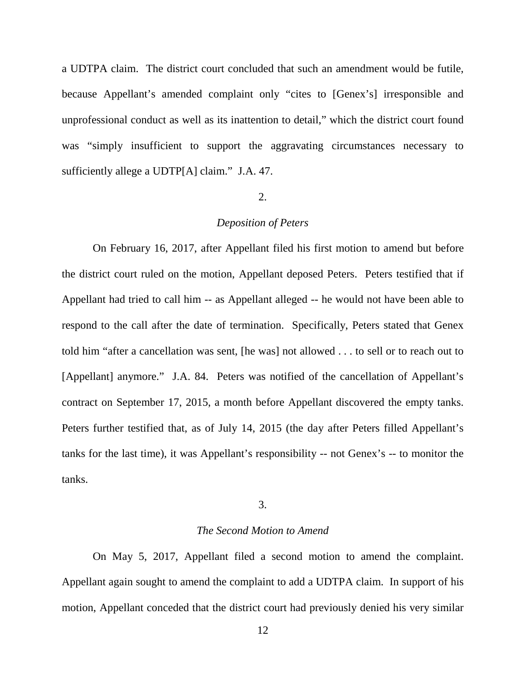a UDTPA claim. The district court concluded that such an amendment would be futile, because Appellant's amended complaint only "cites to [Genex's] irresponsible and unprofessional conduct as well as its inattention to detail," which the district court found was "simply insufficient to support the aggravating circumstances necessary to sufficiently allege a UDTP[A] claim." J.A. 47.

## 2.

## *Deposition of Peters*

On February 16, 2017, after Appellant filed his first motion to amend but before the district court ruled on the motion, Appellant deposed Peters. Peters testified that if Appellant had tried to call him -- as Appellant alleged -- he would not have been able to respond to the call after the date of termination. Specifically, Peters stated that Genex told him "after a cancellation was sent, [he was] not allowed . . . to sell or to reach out to [Appellant] anymore." J.A. 84. Peters was notified of the cancellation of Appellant's contract on September 17, 2015, a month before Appellant discovered the empty tanks. Peters further testified that, as of July 14, 2015 (the day after Peters filled Appellant's tanks for the last time), it was Appellant's responsibility -- not Genex's -- to monitor the tanks.

## 3.

## *The Second Motion to Amend*

On May 5, 2017, Appellant filed a second motion to amend the complaint. Appellant again sought to amend the complaint to add a UDTPA claim. In support of his motion, Appellant conceded that the district court had previously denied his very similar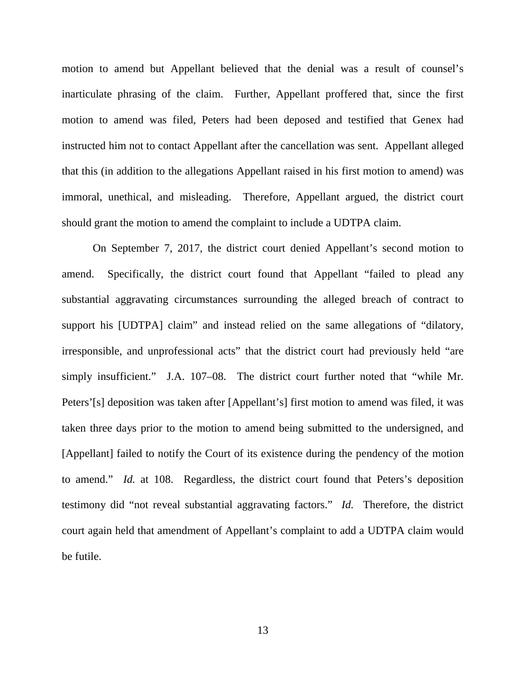motion to amend but Appellant believed that the denial was a result of counsel's inarticulate phrasing of the claim. Further, Appellant proffered that, since the first motion to amend was filed, Peters had been deposed and testified that Genex had instructed him not to contact Appellant after the cancellation was sent. Appellant alleged that this (in addition to the allegations Appellant raised in his first motion to amend) was immoral, unethical, and misleading. Therefore, Appellant argued, the district court should grant the motion to amend the complaint to include a UDTPA claim.

On September 7, 2017, the district court denied Appellant's second motion to amend. Specifically, the district court found that Appellant "failed to plead any substantial aggravating circumstances surrounding the alleged breach of contract to support his [UDTPA] claim" and instead relied on the same allegations of "dilatory, irresponsible, and unprofessional acts" that the district court had previously held "are simply insufficient." J.A. 107–08. The district court further noted that "while Mr. Peters'[s] deposition was taken after [Appellant's] first motion to amend was filed, it was taken three days prior to the motion to amend being submitted to the undersigned, and [Appellant] failed to notify the Court of its existence during the pendency of the motion to amend." *Id.* at 108. Regardless, the district court found that Peters's deposition testimony did "not reveal substantial aggravating factors." *Id.* Therefore, the district court again held that amendment of Appellant's complaint to add a UDTPA claim would be futile.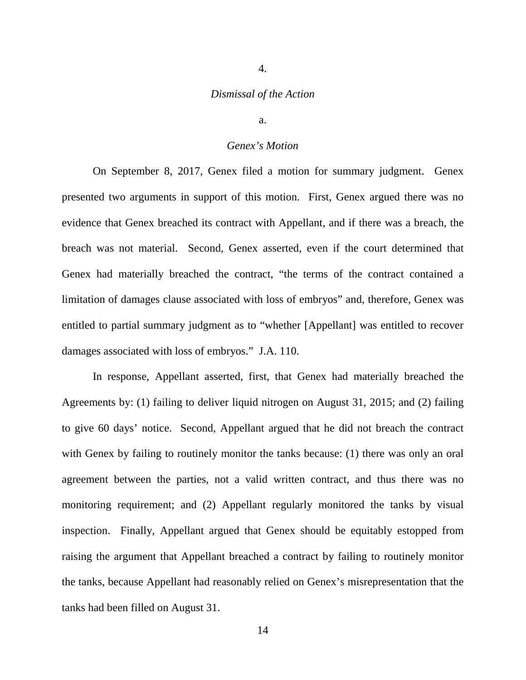# 4.

## *Dismissal of the Action*

a.

## *Genex's Motion*

On September 8, 2017, Genex filed a motion for summary judgment. Genex presented two arguments in support of this motion. First, Genex argued there was no evidence that Genex breached its contract with Appellant, and if there was a breach, the breach was not material. Second, Genex asserted, even if the court determined that Genex had materially breached the contract, "the terms of the contract contained a limitation of damages clause associated with loss of embryos" and, therefore, Genex was entitled to partial summary judgment as to "whether [Appellant] was entitled to recover damages associated with loss of embryos." J.A. 110.

In response, Appellant asserted, first, that Genex had materially breached the Agreements by: (1) failing to deliver liquid nitrogen on August 31, 2015; and (2) failing to give 60 days' notice. Second, Appellant argued that he did not breach the contract with Genex by failing to routinely monitor the tanks because: (1) there was only an oral agreement between the parties, not a valid written contract, and thus there was no monitoring requirement; and (2) Appellant regularly monitored the tanks by visual inspection. Finally, Appellant argued that Genex should be equitably estopped from raising the argument that Appellant breached a contract by failing to routinely monitor the tanks, because Appellant had reasonably relied on Genex's misrepresentation that the tanks had been filled on August 31.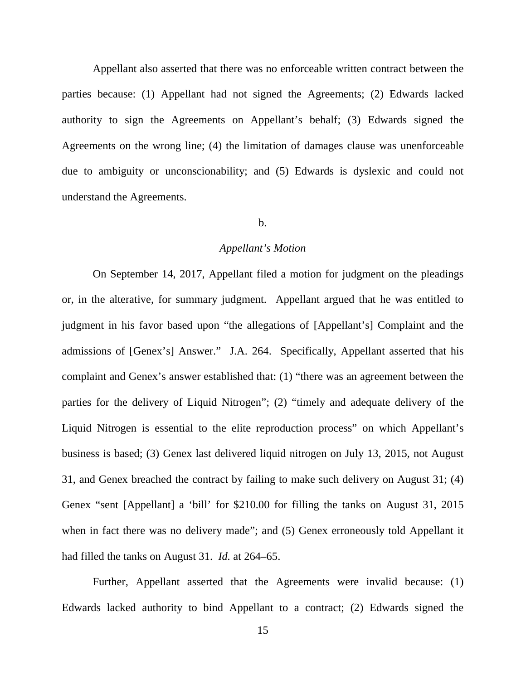Appellant also asserted that there was no enforceable written contract between the parties because: (1) Appellant had not signed the Agreements; (2) Edwards lacked authority to sign the Agreements on Appellant's behalf; (3) Edwards signed the Agreements on the wrong line; (4) the limitation of damages clause was unenforceable due to ambiguity or unconscionability; and (5) Edwards is dyslexic and could not understand the Agreements.

## b.

#### *Appellant's Motion*

On September 14, 2017, Appellant filed a motion for judgment on the pleadings or, in the alterative, for summary judgment. Appellant argued that he was entitled to judgment in his favor based upon "the allegations of [Appellant's] Complaint and the admissions of [Genex's] Answer." J.A. 264. Specifically, Appellant asserted that his complaint and Genex's answer established that: (1) "there was an agreement between the parties for the delivery of Liquid Nitrogen"; (2) "timely and adequate delivery of the Liquid Nitrogen is essential to the elite reproduction process" on which Appellant's business is based; (3) Genex last delivered liquid nitrogen on July 13, 2015, not August 31, and Genex breached the contract by failing to make such delivery on August 31; (4) Genex "sent [Appellant] a 'bill' for \$210.00 for filling the tanks on August 31, 2015 when in fact there was no delivery made"; and (5) Genex erroneously told Appellant it had filled the tanks on August 31. *Id.* at 264–65.

Further, Appellant asserted that the Agreements were invalid because: (1) Edwards lacked authority to bind Appellant to a contract; (2) Edwards signed the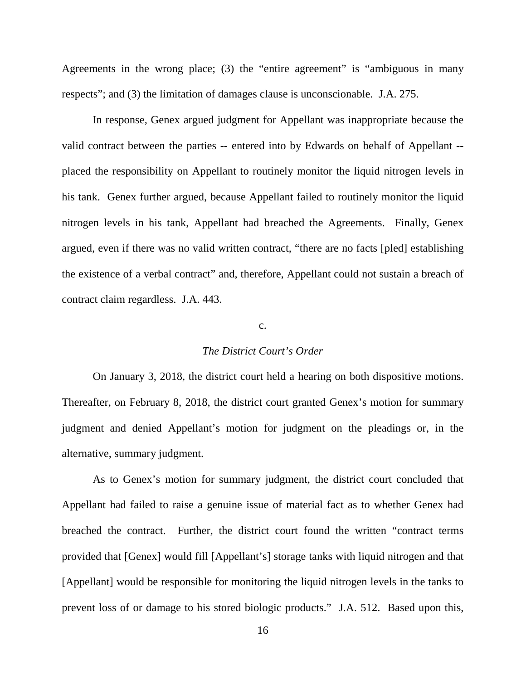Agreements in the wrong place; (3) the "entire agreement" is "ambiguous in many respects"; and (3) the limitation of damages clause is unconscionable. J.A. 275.

In response, Genex argued judgment for Appellant was inappropriate because the valid contract between the parties -- entered into by Edwards on behalf of Appellant - placed the responsibility on Appellant to routinely monitor the liquid nitrogen levels in his tank. Genex further argued, because Appellant failed to routinely monitor the liquid nitrogen levels in his tank, Appellant had breached the Agreements. Finally, Genex argued, even if there was no valid written contract, "there are no facts [pled] establishing the existence of a verbal contract" and, therefore, Appellant could not sustain a breach of contract claim regardless. J.A. 443.

## c.

## *The District Court's Order*

On January 3, 2018, the district court held a hearing on both dispositive motions. Thereafter, on February 8, 2018, the district court granted Genex's motion for summary judgment and denied Appellant's motion for judgment on the pleadings or, in the alternative, summary judgment.

As to Genex's motion for summary judgment, the district court concluded that Appellant had failed to raise a genuine issue of material fact as to whether Genex had breached the contract. Further, the district court found the written "contract terms provided that [Genex] would fill [Appellant's] storage tanks with liquid nitrogen and that [Appellant] would be responsible for monitoring the liquid nitrogen levels in the tanks to prevent loss of or damage to his stored biologic products." J.A. 512. Based upon this,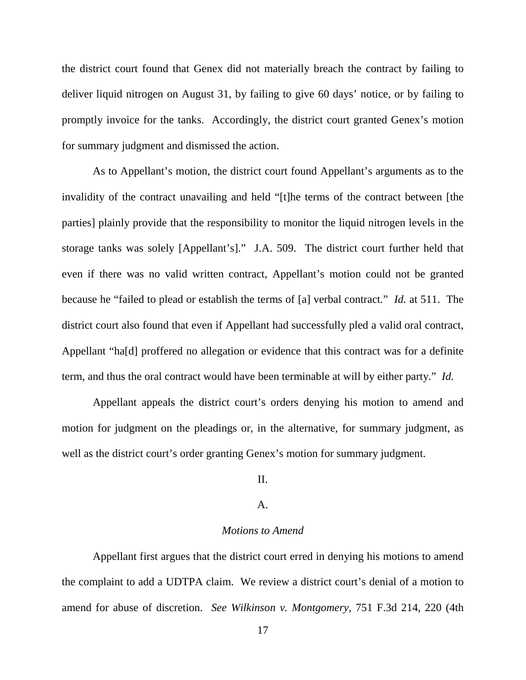the district court found that Genex did not materially breach the contract by failing to deliver liquid nitrogen on August 31, by failing to give 60 days' notice, or by failing to promptly invoice for the tanks. Accordingly, the district court granted Genex's motion for summary judgment and dismissed the action.

As to Appellant's motion, the district court found Appellant's arguments as to the invalidity of the contract unavailing and held "[t]he terms of the contract between [the parties] plainly provide that the responsibility to monitor the liquid nitrogen levels in the storage tanks was solely [Appellant's]." J.A. 509. The district court further held that even if there was no valid written contract, Appellant's motion could not be granted because he "failed to plead or establish the terms of [a] verbal contract." *Id.* at 511. The district court also found that even if Appellant had successfully pled a valid oral contract, Appellant "ha[d] proffered no allegation or evidence that this contract was for a definite term, and thus the oral contract would have been terminable at will by either party." *Id.*

Appellant appeals the district court's orders denying his motion to amend and motion for judgment on the pleadings or, in the alternative, for summary judgment, as well as the district court's order granting Genex's motion for summary judgment.

## II.

#### A.

## *Motions to Amend*

Appellant first argues that the district court erred in denying his motions to amend the complaint to add a UDTPA claim. We review a district court's denial of a motion to amend for abuse of discretion. *See Wilkinson v. Montgomery*, 751 F.3d 214, 220 (4th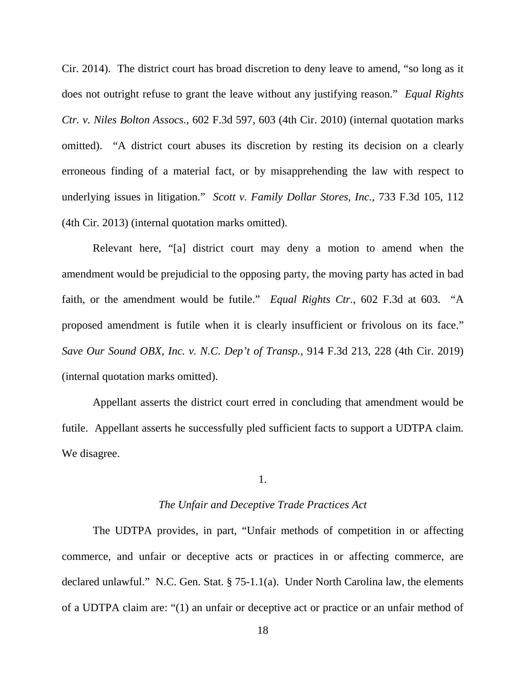Cir. 2014). The district court has broad discretion to deny leave to amend, "so long as it does not outright refuse to grant the leave without any justifying reason." *Equal Rights Ctr. v. Niles Bolton Assocs.*, 602 F.3d 597, 603 (4th Cir. 2010) (internal quotation marks omitted). "A district court abuses its discretion by resting its decision on a clearly erroneous finding of a material fact, or by misapprehending the law with respect to underlying issues in litigation." *Scott v. Family Dollar Stores, Inc.*, 733 F.3d 105, 112 (4th Cir. 2013) (internal quotation marks omitted).

Relevant here, "[a] district court may deny a motion to amend when the amendment would be prejudicial to the opposing party, the moving party has acted in bad faith, or the amendment would be futile." *Equal Rights Ctr.*, 602 F.3d at 603. "A proposed amendment is futile when it is clearly insufficient or frivolous on its face." *Save Our Sound OBX, Inc. v. N.C. Dep't of Transp.*, 914 F.3d 213, 228 (4th Cir. 2019) (internal quotation marks omitted).

Appellant asserts the district court erred in concluding that amendment would be futile. Appellant asserts he successfully pled sufficient facts to support a UDTPA claim. We disagree.

## 1.

## *The Unfair and Deceptive Trade Practices Act*

The UDTPA provides, in part, "Unfair methods of competition in or affecting commerce, and unfair or deceptive acts or practices in or affecting commerce, are declared unlawful." N.C. Gen. Stat. § 75-1.1(a). Under North Carolina law, the elements of a UDTPA claim are: "(1) an unfair or deceptive act or practice or an unfair method of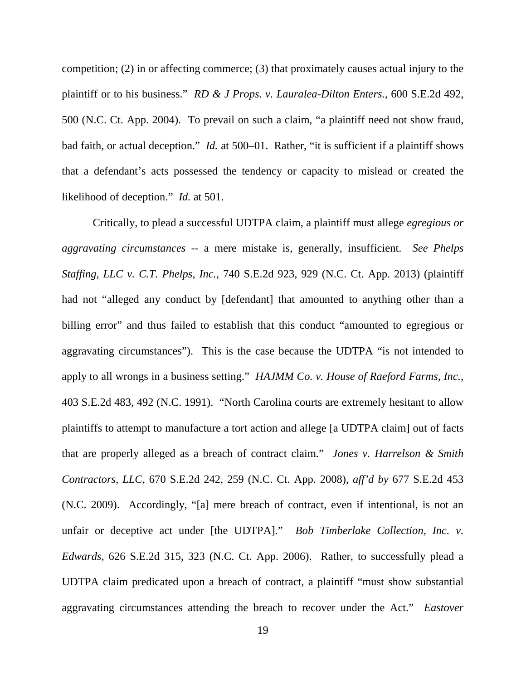competition; (2) in or affecting commerce; (3) that proximately causes actual injury to the plaintiff or to his business." *RD & J Props. v. Lauralea-Dilton Enters.*, 600 S.E.2d 492, 500 (N.C. Ct. App. 2004). To prevail on such a claim, "a plaintiff need not show fraud, bad faith, or actual deception." *Id.* at 500–01. Rather, "it is sufficient if a plaintiff shows that a defendant's acts possessed the tendency or capacity to mislead or created the likelihood of deception." *Id.* at 501.

Critically, to plead a successful UDTPA claim, a plaintiff must allege *egregious or aggravating circumstances* -- a mere mistake is, generally, insufficient. *See Phelps Staffing, LLC v. C.T. Phelps, Inc.*, 740 S.E.2d 923, 929 (N.C. Ct. App. 2013) (plaintiff had not "alleged any conduct by [defendant] that amounted to anything other than a billing error" and thus failed to establish that this conduct "amounted to egregious or aggravating circumstances"). This is the case because the UDTPA "is not intended to apply to all wrongs in a business setting." *HAJMM Co. v. House of Raeford Farms, Inc.*, 403 S.E.2d 483, 492 (N.C. 1991). "North Carolina courts are extremely hesitant to allow plaintiffs to attempt to manufacture a tort action and allege [a UDTPA claim] out of facts that are properly alleged as a breach of contract claim." *Jones v. Harrelson & Smith Contractors, LLC*, 670 S.E.2d 242, 259 (N.C. Ct. App. 2008), *aff'd by* 677 S.E.2d 453 (N.C. 2009). Accordingly, "[a] mere breach of contract, even if intentional, is not an unfair or deceptive act under [the UDTPA]." *Bob Timberlake Collection, Inc. v. Edwards*, 626 S.E.2d 315, 323 (N.C. Ct. App. 2006). Rather, to successfully plead a UDTPA claim predicated upon a breach of contract, a plaintiff "must show substantial aggravating circumstances attending the breach to recover under the Act." *Eastover*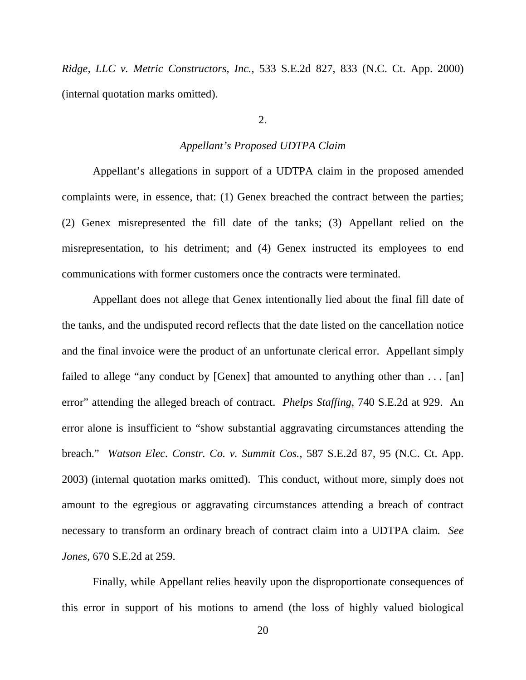*Ridge, LLC v. Metric Constructors, Inc.*, 533 S.E.2d 827, 833 (N.C. Ct. App. 2000) (internal quotation marks omitted).

2.

#### *Appellant's Proposed UDTPA Claim*

Appellant's allegations in support of a UDTPA claim in the proposed amended complaints were, in essence, that: (1) Genex breached the contract between the parties; (2) Genex misrepresented the fill date of the tanks; (3) Appellant relied on the misrepresentation, to his detriment; and (4) Genex instructed its employees to end communications with former customers once the contracts were terminated.

Appellant does not allege that Genex intentionally lied about the final fill date of the tanks, and the undisputed record reflects that the date listed on the cancellation notice and the final invoice were the product of an unfortunate clerical error. Appellant simply failed to allege "any conduct by [Genex] that amounted to anything other than ... [an] error" attending the alleged breach of contract. *Phelps Staffing*, 740 S.E.2d at 929. An error alone is insufficient to "show substantial aggravating circumstances attending the breach." *Watson Elec. Constr. Co. v. Summit Cos.*, 587 S.E.2d 87, 95 (N.C. Ct. App. 2003) (internal quotation marks omitted). This conduct, without more, simply does not amount to the egregious or aggravating circumstances attending a breach of contract necessary to transform an ordinary breach of contract claim into a UDTPA claim. *See Jones*, 670 S.E.2d at 259.

Finally, while Appellant relies heavily upon the disproportionate consequences of this error in support of his motions to amend (the loss of highly valued biological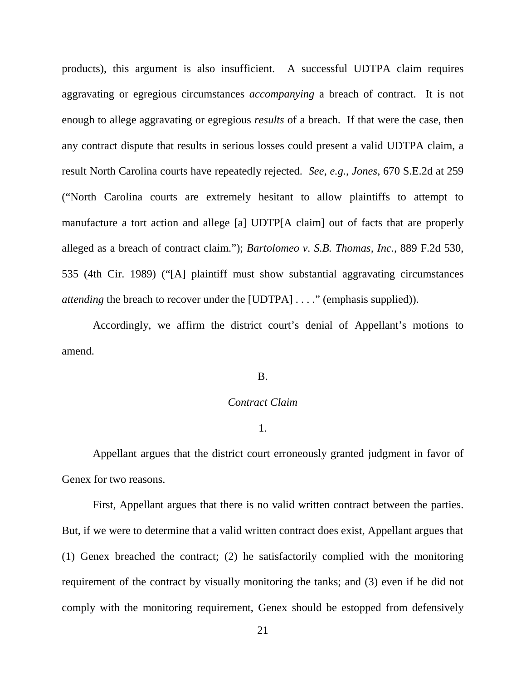products), this argument is also insufficient. A successful UDTPA claim requires aggravating or egregious circumstances *accompanying* a breach of contract. It is not enough to allege aggravating or egregious *results* of a breach. If that were the case, then any contract dispute that results in serious losses could present a valid UDTPA claim, a result North Carolina courts have repeatedly rejected. *See, e.g.*, *Jones*, 670 S.E.2d at 259 ("North Carolina courts are extremely hesitant to allow plaintiffs to attempt to manufacture a tort action and allege [a] UDTP[A claim] out of facts that are properly alleged as a breach of contract claim."); *Bartolomeo v. S.B. Thomas, Inc.*, 889 F.2d 530, 535 (4th Cir. 1989) ("[A] plaintiff must show substantial aggravating circumstances *attending* the breach to recover under the [UDTPA] . . . ." (emphasis supplied)).

Accordingly, we affirm the district court's denial of Appellant's motions to amend.

#### B.

## *Contract Claim*

1.

Appellant argues that the district court erroneously granted judgment in favor of Genex for two reasons.

First, Appellant argues that there is no valid written contract between the parties. But, if we were to determine that a valid written contract does exist, Appellant argues that (1) Genex breached the contract; (2) he satisfactorily complied with the monitoring requirement of the contract by visually monitoring the tanks; and (3) even if he did not comply with the monitoring requirement, Genex should be estopped from defensively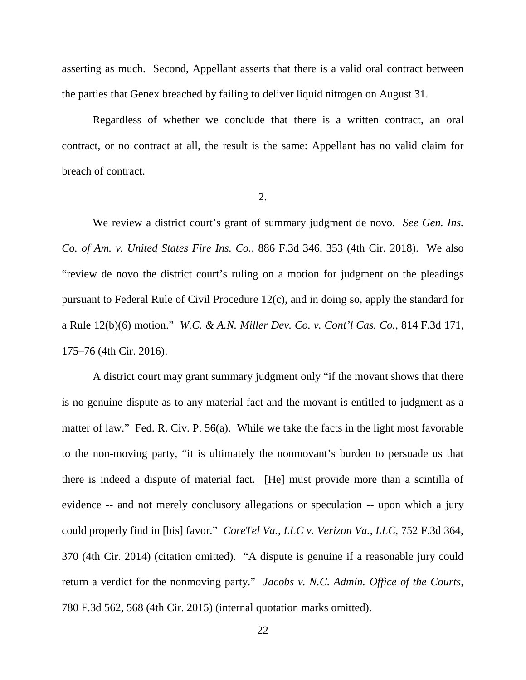asserting as much. Second, Appellant asserts that there is a valid oral contract between the parties that Genex breached by failing to deliver liquid nitrogen on August 31.

Regardless of whether we conclude that there is a written contract, an oral contract, or no contract at all, the result is the same: Appellant has no valid claim for breach of contract.

2.

We review a district court's grant of summary judgment de novo. *See Gen. Ins. Co. of Am. v. United States Fire Ins. Co.*, 886 F.3d 346, 353 (4th Cir. 2018). We also "review de novo the district court's ruling on a motion for judgment on the pleadings pursuant to Federal Rule of Civil Procedure 12(c), and in doing so, apply the standard for a Rule 12(b)(6) motion." *W.C. & A.N. Miller Dev. Co. v. Cont'l Cas. Co.*, 814 F.3d 171, 175–76 (4th Cir. 2016).

A district court may grant summary judgment only "if the movant shows that there is no genuine dispute as to any material fact and the movant is entitled to judgment as a matter of law." Fed. R. Civ. P. 56(a). While we take the facts in the light most favorable to the non-moving party, "it is ultimately the nonmovant's burden to persuade us that there is indeed a dispute of material fact. [He] must provide more than a scintilla of evidence -- and not merely conclusory allegations or speculation -- upon which a jury could properly find in [his] favor." *CoreTel Va., LLC v. Verizon Va., LLC*, 752 F.3d 364, 370 (4th Cir. 2014) (citation omitted). "A dispute is genuine if a reasonable jury could return a verdict for the nonmoving party." *Jacobs v. N.C. Admin. Office of the Courts*, 780 F.3d 562, 568 (4th Cir. 2015) (internal quotation marks omitted).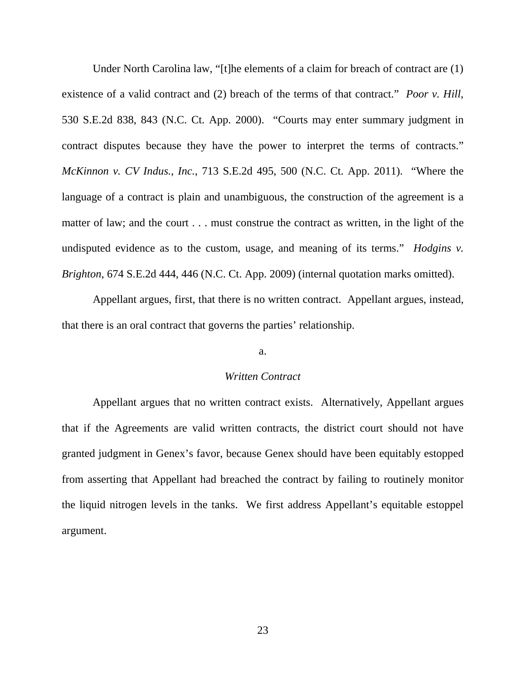Under North Carolina law, "[t]he elements of a claim for breach of contract are (1) existence of a valid contract and (2) breach of the terms of that contract." *Poor v. Hill*, 530 S.E.2d 838, 843 (N.C. Ct. App. 2000). "Courts may enter summary judgment in contract disputes because they have the power to interpret the terms of contracts." *McKinnon v. CV Indus., Inc.*, 713 S.E.2d 495, 500 (N.C. Ct. App. 2011). "Where the language of a contract is plain and unambiguous, the construction of the agreement is a matter of law; and the court . . . must construe the contract as written, in the light of the undisputed evidence as to the custom, usage, and meaning of its terms." *Hodgins v. Brighton*, 674 S.E.2d 444, 446 (N.C. Ct. App. 2009) (internal quotation marks omitted).

Appellant argues, first, that there is no written contract. Appellant argues, instead, that there is an oral contract that governs the parties' relationship.

#### a.

## *Written Contract*

Appellant argues that no written contract exists. Alternatively, Appellant argues that if the Agreements are valid written contracts, the district court should not have granted judgment in Genex's favor, because Genex should have been equitably estopped from asserting that Appellant had breached the contract by failing to routinely monitor the liquid nitrogen levels in the tanks. We first address Appellant's equitable estoppel argument.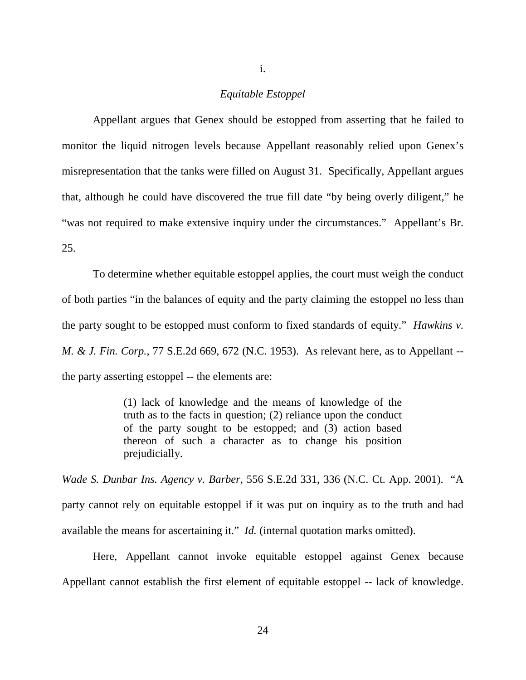## *Equitable Estoppel*

Appellant argues that Genex should be estopped from asserting that he failed to monitor the liquid nitrogen levels because Appellant reasonably relied upon Genex's misrepresentation that the tanks were filled on August 31. Specifically, Appellant argues that, although he could have discovered the true fill date "by being overly diligent," he "was not required to make extensive inquiry under the circumstances." Appellant's Br. 25.

To determine whether equitable estoppel applies, the court must weigh the conduct of both parties "in the balances of equity and the party claiming the estoppel no less than the party sought to be estopped must conform to fixed standards of equity." *Hawkins v. M. & J. Fin. Corp.*, 77 S.E.2d 669, 672 (N.C. 1953). As relevant here, as to Appellant - the party asserting estoppel -- the elements are:

> (1) lack of knowledge and the means of knowledge of the truth as to the facts in question; (2) reliance upon the conduct of the party sought to be estopped; and (3) action based thereon of such a character as to change his position prejudicially.

*Wade S. Dunbar Ins. Agency v. Barber*, 556 S.E.2d 331, 336 (N.C. Ct. App. 2001). "A party cannot rely on equitable estoppel if it was put on inquiry as to the truth and had available the means for ascertaining it." *Id.* (internal quotation marks omitted).

Here, Appellant cannot invoke equitable estoppel against Genex because Appellant cannot establish the first element of equitable estoppel -- lack of knowledge.

i.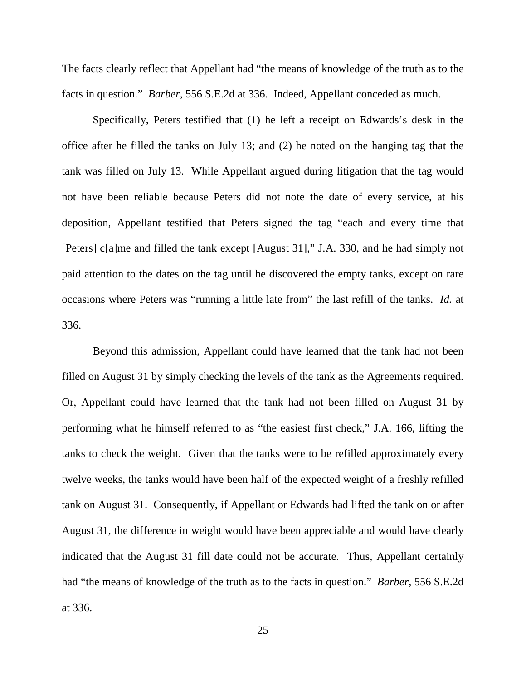The facts clearly reflect that Appellant had "the means of knowledge of the truth as to the facts in question." *Barber*, 556 S.E.2d at 336. Indeed, Appellant conceded as much.

Specifically, Peters testified that (1) he left a receipt on Edwards's desk in the office after he filled the tanks on July 13; and (2) he noted on the hanging tag that the tank was filled on July 13. While Appellant argued during litigation that the tag would not have been reliable because Peters did not note the date of every service, at his deposition, Appellant testified that Peters signed the tag "each and every time that [Peters] c[a]me and filled the tank except [August 31]," J.A. 330, and he had simply not paid attention to the dates on the tag until he discovered the empty tanks, except on rare occasions where Peters was "running a little late from" the last refill of the tanks. *Id.* at 336.

Beyond this admission, Appellant could have learned that the tank had not been filled on August 31 by simply checking the levels of the tank as the Agreements required. Or, Appellant could have learned that the tank had not been filled on August 31 by performing what he himself referred to as "the easiest first check," J.A. 166, lifting the tanks to check the weight. Given that the tanks were to be refilled approximately every twelve weeks, the tanks would have been half of the expected weight of a freshly refilled tank on August 31. Consequently, if Appellant or Edwards had lifted the tank on or after August 31, the difference in weight would have been appreciable and would have clearly indicated that the August 31 fill date could not be accurate. Thus, Appellant certainly had "the means of knowledge of the truth as to the facts in question." *Barber*, 556 S.E.2d at 336.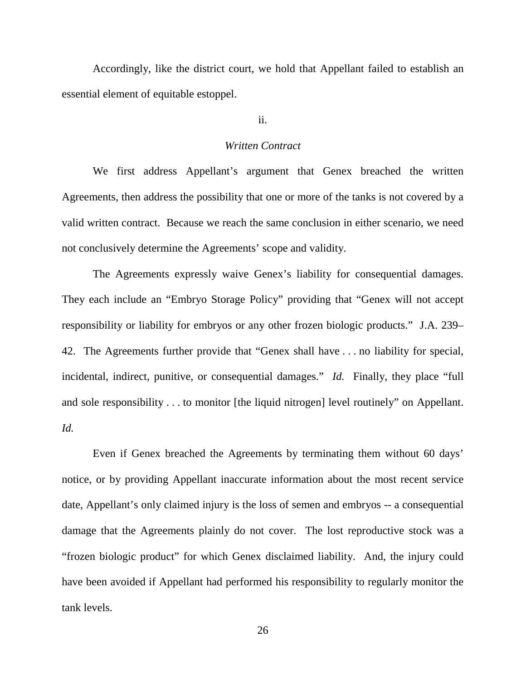Accordingly, like the district court, we hold that Appellant failed to establish an essential element of equitable estoppel.

ii.

#### *Written Contract*

We first address Appellant's argument that Genex breached the written Agreements, then address the possibility that one or more of the tanks is not covered by a valid written contract. Because we reach the same conclusion in either scenario, we need not conclusively determine the Agreements' scope and validity.

The Agreements expressly waive Genex's liability for consequential damages. They each include an "Embryo Storage Policy" providing that "Genex will not accept responsibility or liability for embryos or any other frozen biologic products." J.A. 239– 42. The Agreements further provide that "Genex shall have . . . no liability for special, incidental, indirect, punitive, or consequential damages." *Id.* Finally, they place "full and sole responsibility . . . to monitor [the liquid nitrogen] level routinely" on Appellant. *Id.*

Even if Genex breached the Agreements by terminating them without 60 days' notice, or by providing Appellant inaccurate information about the most recent service date, Appellant's only claimed injury is the loss of semen and embryos -- a consequential damage that the Agreements plainly do not cover. The lost reproductive stock was a "frozen biologic product" for which Genex disclaimed liability. And, the injury could have been avoided if Appellant had performed his responsibility to regularly monitor the tank levels.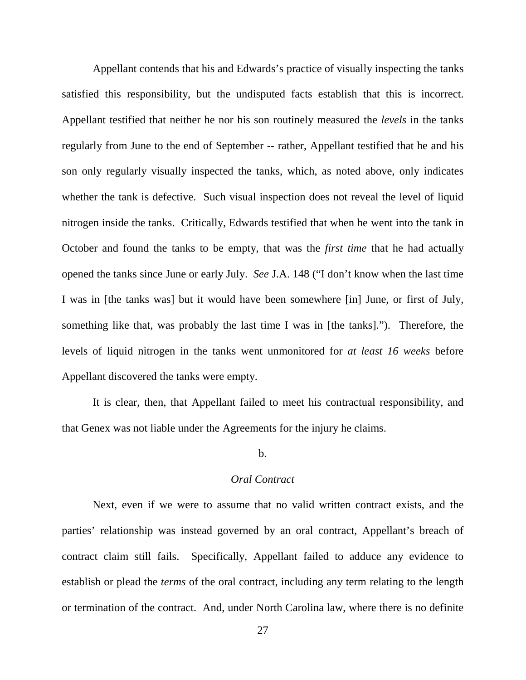Appellant contends that his and Edwards's practice of visually inspecting the tanks satisfied this responsibility, but the undisputed facts establish that this is incorrect. Appellant testified that neither he nor his son routinely measured the *levels* in the tanks regularly from June to the end of September -- rather, Appellant testified that he and his son only regularly visually inspected the tanks, which, as noted above, only indicates whether the tank is defective. Such visual inspection does not reveal the level of liquid nitrogen inside the tanks. Critically, Edwards testified that when he went into the tank in October and found the tanks to be empty, that was the *first time* that he had actually opened the tanks since June or early July. *See* J.A. 148 ("I don't know when the last time I was in [the tanks was] but it would have been somewhere [in] June, or first of July, something like that, was probably the last time I was in [the tanks]."). Therefore, the levels of liquid nitrogen in the tanks went unmonitored for *at least 16 weeks* before Appellant discovered the tanks were empty.

It is clear, then, that Appellant failed to meet his contractual responsibility, and that Genex was not liable under the Agreements for the injury he claims.

## b.

## *Oral Contract*

Next, even if we were to assume that no valid written contract exists, and the parties' relationship was instead governed by an oral contract, Appellant's breach of contract claim still fails. Specifically, Appellant failed to adduce any evidence to establish or plead the *terms* of the oral contract, including any term relating to the length or termination of the contract. And, under North Carolina law, where there is no definite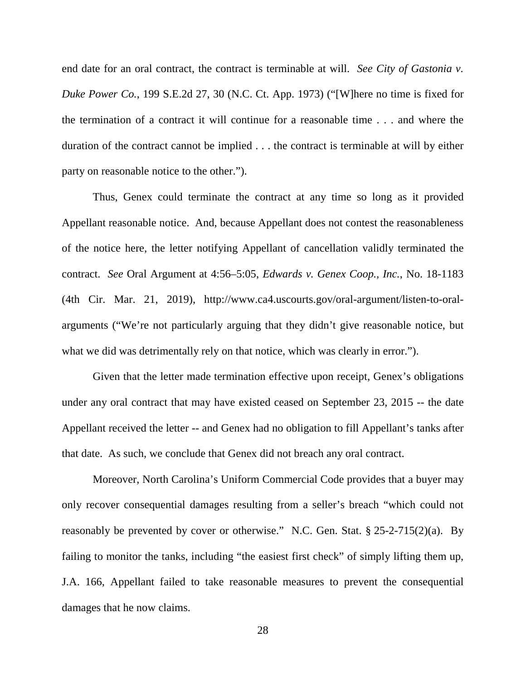end date for an oral contract, the contract is terminable at will. *See City of Gastonia v. Duke Power Co.*, 199 S.E.2d 27, 30 (N.C. Ct. App. 1973) ("[W]here no time is fixed for the termination of a contract it will continue for a reasonable time . . . and where the duration of the contract cannot be implied . . . the contract is terminable at will by either party on reasonable notice to the other.").

Thus, Genex could terminate the contract at any time so long as it provided Appellant reasonable notice. And, because Appellant does not contest the reasonableness of the notice here, the letter notifying Appellant of cancellation validly terminated the contract. *See* Oral Argument at 4:56–5:05, *Edwards v. Genex Coop., Inc.*, No. 18-1183 (4th Cir. Mar. 21, 2019), http://www.ca4.uscourts.gov/oral-argument/listen-to-oralarguments ("We're not particularly arguing that they didn't give reasonable notice, but what we did was detrimentally rely on that notice, which was clearly in error.").

Given that the letter made termination effective upon receipt, Genex's obligations under any oral contract that may have existed ceased on September 23, 2015 -- the date Appellant received the letter -- and Genex had no obligation to fill Appellant's tanks after that date. As such, we conclude that Genex did not breach any oral contract.

Moreover, North Carolina's Uniform Commercial Code provides that a buyer may only recover consequential damages resulting from a seller's breach "which could not reasonably be prevented by cover or otherwise." N.C. Gen. Stat. § 25-2-715(2)(a). By failing to monitor the tanks, including "the easiest first check" of simply lifting them up, J.A. 166, Appellant failed to take reasonable measures to prevent the consequential damages that he now claims.